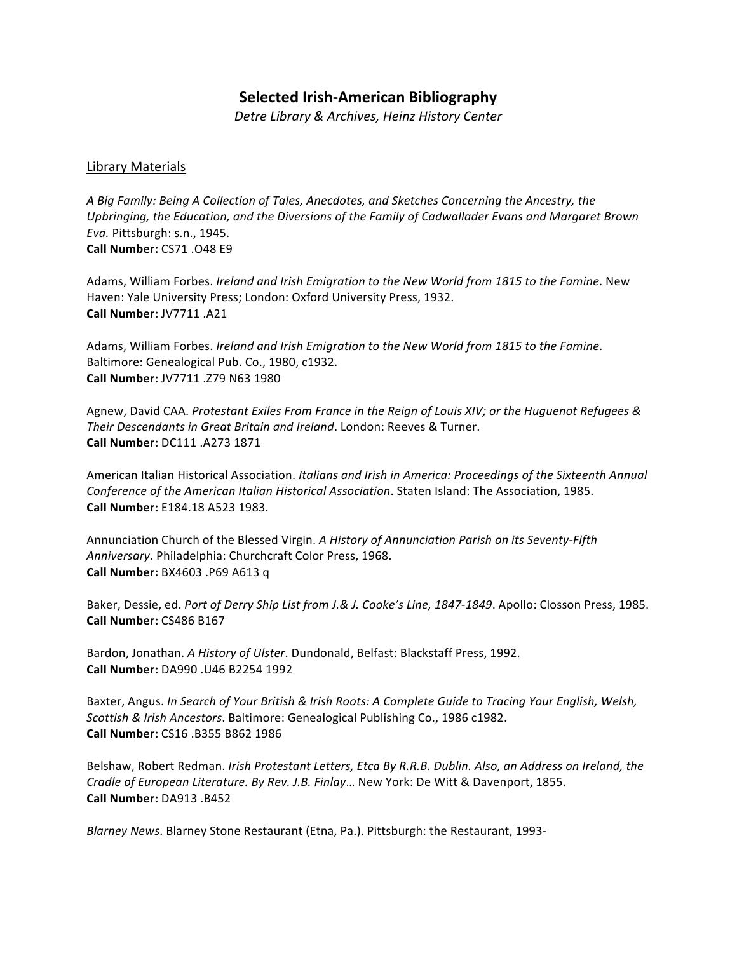# **Selected Irish-American Bibliography**

*Detre Library & Archives, Heinz History Center*

# Library Materials

A Big Family: Being A Collection of Tales, Anecdotes, and Sketches Concerning the Ancestry, the Upbringing, the Education, and the Diversions of the Family of Cadwallader Evans and Margaret Brown *Eva.* Pittsburgh: s.n., 1945. **Call Number:** CS71 .O48 E9

Adams, William Forbes. *Ireland and Irish Emigration to the New World from 1815 to the Famine*. New Haven: Yale University Press; London: Oxford University Press, 1932. **Call Number:** JV7711 .A21

Adams, William Forbes. *Ireland and Irish Emigration to the New World from 1815 to the Famine*. Baltimore: Genealogical Pub. Co., 1980, c1932. **Call Number:** JV7711 .Z79 N63 1980

Agnew, David CAA. Protestant Exiles From France in the Reign of Louis XIV; or the Huguenot Refugees & **Their Descendants in Great Britain and Ireland. London: Reeves & Turner. Call Number:** DC111 .A273 1871

American Italian Historical Association. *Italians and Irish in America: Proceedings of the Sixteenth Annual Conference of the American Italian Historical Association*. Staten Island: The Association, 1985. **Call Number:** E184.18 A523 1983.

Annunciation Church of the Blessed Virgin. A History of Annunciation Parish on its Seventy-Fifth Anniversary. Philadelphia: Churchcraft Color Press, 1968. **Call Number:** BX4603 .P69 A613 q

Baker, Dessie, ed. Port of Derry Ship List from J.& J. Cooke's Line, 1847-1849. Apollo: Closson Press, 1985. **Call Number:** CS486 B167

Bardon, Jonathan. *A History of Ulster*. Dundonald, Belfast: Blackstaff Press, 1992. **Call Number:** DA990 .U46 B2254 1992

Baxter, Angus. *In Search of Your British & Irish Roots: A Complete Guide to Tracing Your English, Welsh, Scottish & Irish Ancestors*. Baltimore: Genealogical Publishing Co., 1986 c1982. **Call Number:** CS16 .B355 B862 1986

Belshaw, Robert Redman. *Irish Protestant Letters, Etca By R.R.B. Dublin. Also, an Address on Ireland, the Cradle of European Literature. By Rev. J.B. Finlay...* New York: De Witt & Davenport, 1855. **Call Number:** DA913 .B452

*Blarney News*. Blarney Stone Restaurant (Etna, Pa.). Pittsburgh: the Restaurant, 1993-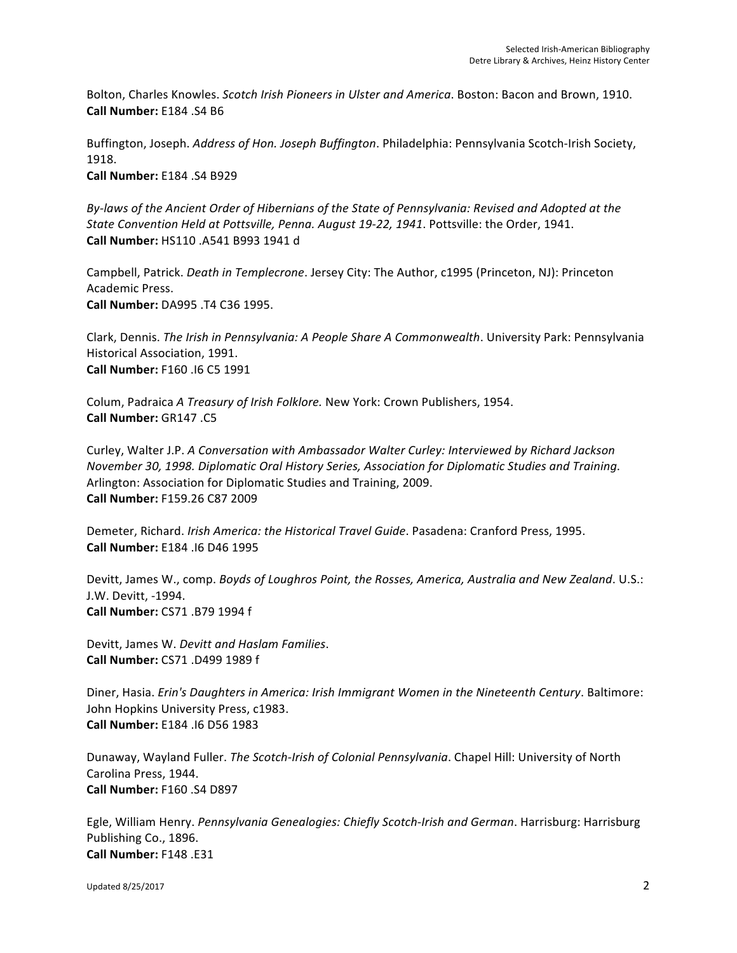Bolton, Charles Knowles. *Scotch Irish Pioneers in Ulster and America*. Boston: Bacon and Brown, 1910. **Call Number:** E184 .S4 B6

Buffington, Joseph. *Address of Hon. Joseph Buffington*. Philadelphia: Pennsylvania Scotch-Irish Society, 1918. **Call Number:** E184 .S4 B929

By-laws of the Ancient Order of Hibernians of the State of Pennsylvania: Revised and Adopted at the State Convention Held at Pottsville, Penna. August 19-22, 1941. Pottsville: the Order, 1941. **Call Number:** HS110 .A541 B993 1941 d

Campbell, Patrick. *Death in Templecrone*. Jersey City: The Author, c1995 (Princeton, NJ): Princeton Academic Press. **Call Number:** DA995 .T4 C36 1995.

Clark, Dennis. *The Irish in Pennsylvania: A People Share A Commonwealth*. University Park: Pennsylvania Historical Association, 1991. **Call Number:** F160 .I6 C5 1991

Colum, Padraica *A Treasury of Irish Folklore.* New York: Crown Publishers, 1954. **Call Number:** GR147 .C5

Curley, Walter J.P. A Conversation with Ambassador Walter Curley: Interviewed by Richard Jackson *November* 30, 1998. Diplomatic Oral History Series, Association for Diplomatic Studies and Training. Arlington: Association for Diplomatic Studies and Training, 2009. **Call Number:** F159.26 C87 2009

Demeter, Richard. *Irish America: the Historical Travel Guide*. Pasadena: Cranford Press, 1995. **Call Number:** E184 .I6 D46 1995

Devitt, James W., comp. *Boyds of Loughros Point, the Rosses, America, Australia and New Zealand.* U.S.: J.W. Devitt, -1994. **Call Number:** CS71 .B79 1994 f

Devitt, James W. Devitt and Haslam Families. **Call Number:** CS71 .D499 1989 f

Diner, Hasia. *Erin's Daughters in America: Irish Immigrant Women in the Nineteenth Century*. Baltimore: John Hopkins University Press, c1983. **Call Number:** E184 .I6 D56 1983

Dunaway, Wayland Fuller. *The Scotch-Irish of Colonial Pennsylvania*. Chapel Hill: University of North Carolina Press, 1944. **Call Number:** F160 .S4 D897

Egle, William Henry. *Pennsylvania Genealogies: Chiefly Scotch-Irish and German*. Harrisburg: Harrisburg Publishing Co., 1896. **Call Number:** F148 .E31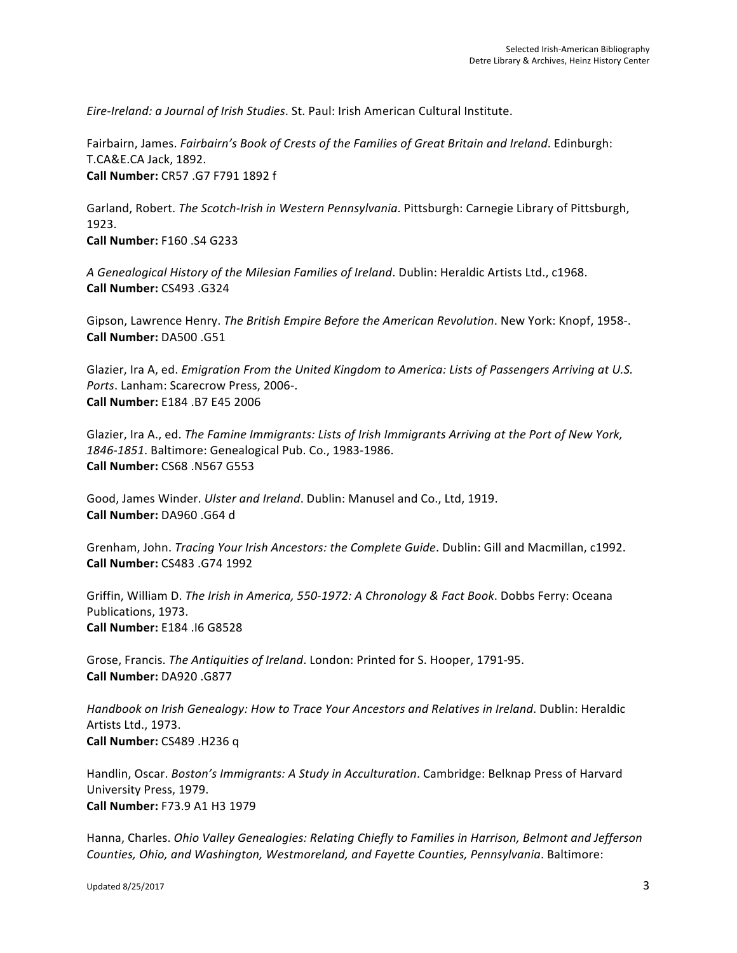*Eire-Ireland: a Journal of Irish Studies*. St. Paul: Irish American Cultural Institute.

Fairbairn, James. *Fairbairn's Book of Crests of the Families of Great Britain and Ireland*. Edinburgh: T.CA&E.CA Jack, 1892. **Call Number:** CR57 .G7 F791 1892 f

Garland, Robert. *The Scotch-Irish in Western Pennsylvania*. Pittsburgh: Carnegie Library of Pittsburgh, 1923.

**Call Number:** F160 .S4 G233

A Genealogical History of the Milesian Families of Ireland. Dublin: Heraldic Artists Ltd., c1968. **Call Number:** CS493 .G324

Gipson, Lawrence Henry. *The British Empire Before the American Revolution*. New York: Knopf, 1958-. **Call Number:** DA500 .G51

Glazier, Ira A, ed. *Emigration From the United Kingdom to America: Lists of Passengers Arriving at U.S.* Ports. Lanham: Scarecrow Press, 2006-. **Call Number:** E184 .B7 E45 2006

Glazier, Ira A., ed. *The Famine Immigrants: Lists of Irish Immigrants Arriving at the Port of New York,* 1846-1851. Baltimore: Genealogical Pub. Co., 1983-1986. **Call Number:** CS68 .N567 G553

Good, James Winder. *Ulster and Ireland*. Dublin: Manusel and Co., Ltd, 1919. **Call Number:** DA960 .G64 d

Grenham, John. *Tracing Your Irish Ancestors: the Complete Guide*. Dublin: Gill and Macmillan, c1992. **Call Number:** CS483 .G74 1992

Griffin, William D. *The Irish in America, 550-1972: A Chronology & Fact Book*. Dobbs Ferry: Oceana Publications, 1973. **Call Number:** E184 .I6 G8528

Grose, Francis. *The Antiquities of Ireland*. London: Printed for S. Hooper, 1791-95. **Call Number:** DA920 .G877

Handbook on Irish Genealogy: How to Trace Your Ancestors and Relatives in Ireland. Dublin: Heraldic Artists Ltd., 1973. **Call Number:** CS489 .H236 q

Handlin, Oscar. *Boston's Immigrants: A Study in Acculturation*. Cambridge: Belknap Press of Harvard University Press, 1979. **Call Number:** F73.9 A1 H3 1979

Hanna, Charles. *Ohio Valley Genealogies: Relating Chiefly to Families in Harrison, Belmont and Jefferson Counties, Ohio, and Washington, Westmoreland, and Fayette Counties, Pennsylvania*. Baltimore: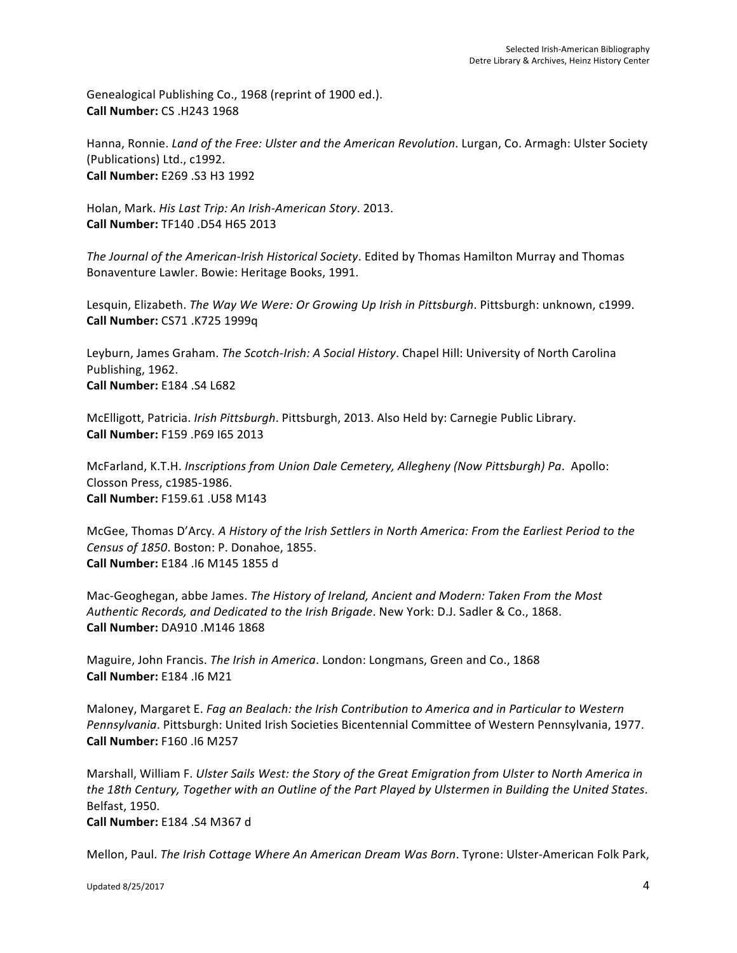Genealogical Publishing Co., 1968 (reprint of 1900 ed.). **Call Number:** CS .H243 1968

Hanna, Ronnie. *Land of the Free: Ulster and the American Revolution*. Lurgan, Co. Armagh: Ulster Society (Publications) Ltd., c1992. **Call Number:** E269 .S3 H3 1992

Holan, Mark. *His Last Trip: An Irish-American Story*. 2013. **Call Number:** TF140 .D54 H65 2013

The Journal of the American-Irish Historical Society. Edited by Thomas Hamilton Murray and Thomas Bonaventure Lawler. Bowie: Heritage Books, 1991.

Lesquin, Elizabeth. *The Way We Were: Or Growing Up Irish in Pittsburgh*. Pittsburgh: unknown, c1999. **Call Number:** CS71 .K725 1999q

Leyburn, James Graham. *The Scotch-Irish: A Social History*. Chapel Hill: University of North Carolina Publishing, 1962. **Call Number:** E184 .S4 L682

McElligott, Patricia. *Irish Pittsburgh*. Pittsburgh, 2013. Also Held by: Carnegie Public Library. **Call Number:** F159 .P69 I65 2013

McFarland, K.T.H. *Inscriptions from Union Dale Cemetery, Allegheny (Now Pittsburgh) Pa. Apollo:* Closson Press, c1985-1986. **Call Number:** F159.61 .U58 M143

McGee, Thomas D'Arcy. A History of the Irish Settlers in North America: From the Earliest Period to the *Census of 1850.* Boston: P. Donahoe, 1855. **Call Number:** E184 .I6 M145 1855 d

Mac-Geoghegan, abbe James. *The History of Ireland, Ancient and Modern: Taken From the Most Authentic Records, and Dedicated to the Irish Brigade.* New York: D.J. Sadler & Co., 1868. **Call Number:** DA910 .M146 1868

Maguire, John Francis. *The Irish in America*. London: Longmans, Green and Co., 1868 **Call Number:** E184 .I6 M21

Maloney, Margaret E. *Fag an Bealach: the Irish Contribution to America and in Particular to Western Pennsylvania*. Pittsburgh: United Irish Societies Bicentennial Committee of Western Pennsylvania, 1977. **Call Number:** F160 .I6 M257

Marshall, William F. *Ulster Sails West: the Story of the Great Emigration from Ulster to North America in the 18th Century, Together with an Outline of the Part Played by Ulstermen in Building the United States.* Belfast, 1950.

**Call Number:** E184 .S4 M367 d

Mellon, Paul. *The Irish Cottage Where An American Dream Was Born*. Tyrone: Ulster-American Folk Park,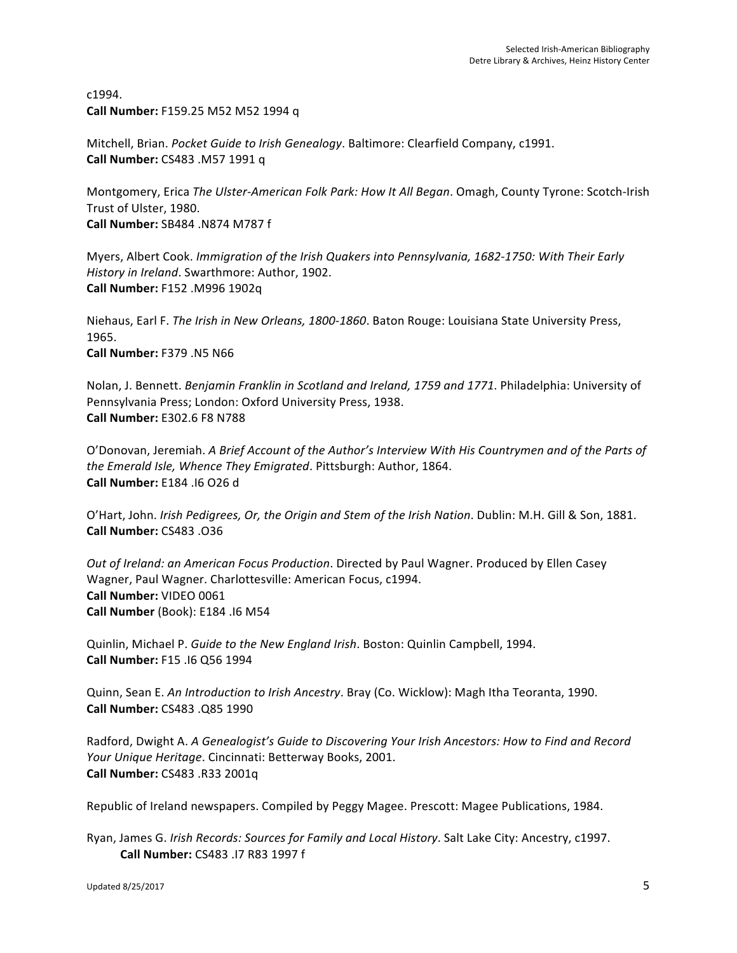c1994. **Call Number:** F159.25 M52 M52 1994 q

Mitchell, Brian. *Pocket Guide to Irish Genealogy*. Baltimore: Clearfield Company, c1991. **Call Number:** CS483 .M57 1991 q

Montgomery, Erica *The Ulster-American Folk Park: How It All Began*. Omagh, County Tyrone: Scotch-Irish Trust of Ulster, 1980. **Call Number:** SB484 .N874 M787 f

Myers, Albert Cook. *Immigration of the Irish Quakers into Pennsylvania, 1682-1750: With Their Early History in Ireland.* Swarthmore: Author, 1902. **Call Number:** F152 .M996 1902q

Niehaus, Earl F. *The Irish in New Orleans, 1800-1860*. Baton Rouge: Louisiana State University Press, 1965. **Call Number:** F379 .N5 N66

Nolan, J. Bennett. *Benjamin Franklin in Scotland and Ireland, 1759 and 1771*. Philadelphia: University of Pennsylvania Press; London: Oxford University Press, 1938. **Call Number:** E302.6 F8 N788

O'Donovan, Jeremiah. A Brief Account of the Author's Interview With His Countrymen and of the Parts of *the Emerald Isle, Whence They Emigrated.* Pittsburgh: Author, 1864. **Call Number:** E184 .I6 O26 d

O'Hart, John. *Irish Pedigrees, Or, the Origin and Stem of the Irish Nation*. Dublin: M.H. Gill & Son, 1881. **Call Number:** CS483 .O36

*Out of Ireland: an American Focus Production.* Directed by Paul Wagner. Produced by Ellen Casey Wagner, Paul Wagner. Charlottesville: American Focus, c1994. **Call Number:** VIDEO 0061 **Call Number** (Book): E184 .16 M54

Quinlin, Michael P. *Guide to the New England Irish*. Boston: Quinlin Campbell, 1994. **Call Number:** F15 .I6 Q56 1994

Quinn, Sean E. *An Introduction to Irish Ancestry*. Bray (Co. Wicklow): Magh Itha Teoranta, 1990. **Call Number:** CS483 .Q85 1990

Radford, Dwight A. A Genealogist's Guide to Discovering Your Irish Ancestors: How to Find and Record *Your Unique Heritage. Cincinnati: Betterway Books, 2001.* **Call Number:** CS483 .R33 2001q

Republic of Ireland newspapers. Compiled by Peggy Magee. Prescott: Magee Publications, 1984.

Ryan, James G. *Irish Records: Sources for Family and Local History*. Salt Lake City: Ancestry, c1997. **Call Number:** CS483 .I7 R83 1997 f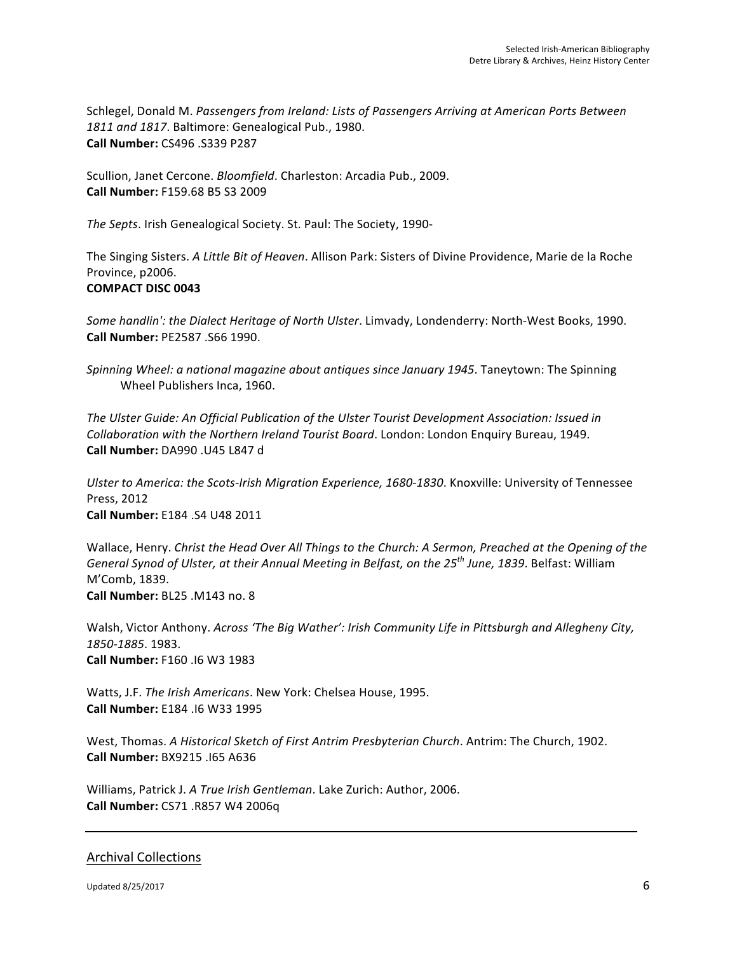Schlegel, Donald M. Passengers from Ireland: Lists of Passengers Arriving at American Ports Between 1811 and 1817. Baltimore: Genealogical Pub., 1980. **Call Number:** CS496 .S339 P287 

Scullion, Janet Cercone. *Bloomfield*. Charleston: Arcadia Pub., 2009. **Call Number:** F159.68 B5 S3 2009

The Septs. Irish Genealogical Society. St. Paul: The Society, 1990-

The Singing Sisters. A Little Bit of Heaven. Allison Park: Sisters of Divine Providence, Marie de la Roche Province, p2006.

#### **COMPACT DISC 0043**

*Some handlin': the Dialect Heritage of North Ulster.* Limvady, Londenderry: North-West Books, 1990. **Call Number:** PE2587 .S66 1990.

*Spinning Wheel: a national magazine about antiques since January 1945. Taneytown: The Spinning* Wheel Publishers Inca, 1960.

The Ulster Guide: An Official Publication of the Ulster Tourist Development Association: Issued in *Collaboration with the Northern Ireland Tourist Board.* London: London Enquiry Bureau, 1949. **Call Number:** DA990 .U45 L847 d

Ulster to America: the Scots-Irish Migration Experience, 1680-1830. Knoxville: University of Tennessee Press, 2012 **Call Number:** E184 .S4 U48 2011

Wallace, Henry. *Christ the Head Over All Things to the Church: A Sermon, Preached at the Opening of the General Synod of Ulster, at their Annual Meeting in Belfast, on the 25<sup>th</sup> June, 1839. Belfast: William* M'Comb, 1839. **Call Number:** BL25 .M143 no. 8

Walsh, Victor Anthony. *Across 'The Big Wather': Irish Community Life in Pittsburgh and Allegheny City, 1850-1885*. 1983. **Call Number:** F160 .I6 W3 1983

Watts, J.F. *The Irish Americans*. New York: Chelsea House, 1995. **Call Number:** E184 .I6 W33 1995

West, Thomas. *A Historical Sketch of First Antrim Presbyterian Church*. Antrim: The Church, 1902. **Call Number:** BX9215 .I65 A636

Williams, Patrick J. *A True Irish Gentleman*. Lake Zurich: Author, 2006. **Call Number:** CS71 .R857 W4 2006q

# Archival Collections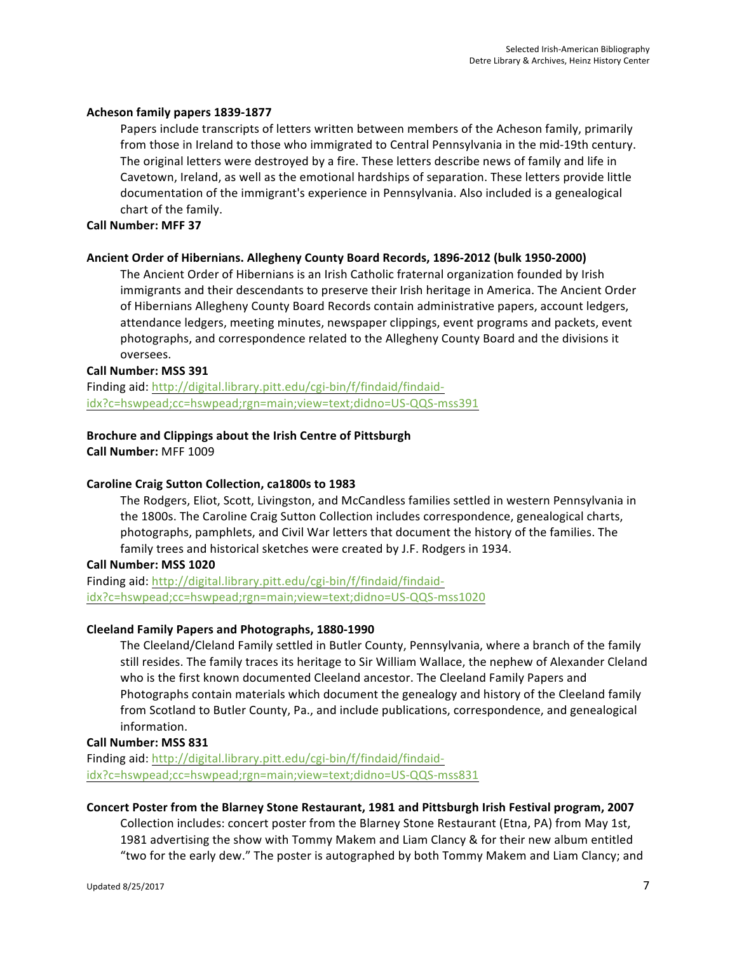#### **Acheson family papers 1839-1877**

Papers include transcripts of letters written between members of the Acheson family, primarily from those in Ireland to those who immigrated to Central Pennsylvania in the mid-19th century. The original letters were destroyed by a fire. These letters describe news of family and life in Cavetown, Ireland, as well as the emotional hardships of separation. These letters provide little documentation of the immigrant's experience in Pennsylvania. Also included is a genealogical chart of the family.

#### **Call Number: MFF 37**

#### Ancient Order of Hibernians. Allegheny County Board Records, 1896-2012 (bulk 1950-2000)

The Ancient Order of Hibernians is an Irish Catholic fraternal organization founded by Irish immigrants and their descendants to preserve their Irish heritage in America. The Ancient Order of Hibernians Allegheny County Board Records contain administrative papers, account ledgers, attendance ledgers, meeting minutes, newspaper clippings, event programs and packets, event photographs, and correspondence related to the Allegheny County Board and the divisions it oversees.

#### **Call Number: MSS 391**

Finding aid: http://digital.library.pitt.edu/cgi-bin/f/findaid/findaididx?c=hswpead;cc=hswpead;rgn=main;view=text;didno=US-QQS-mss391

# **Brochure and Clippings about the Irish Centre of Pittsburgh**

**Call Number:** MFF 1009

# **Caroline Craig Sutton Collection, ca1800s to 1983**

The Rodgers, Eliot, Scott, Livingston, and McCandless families settled in western Pennsylvania in the 1800s. The Caroline Craig Sutton Collection includes correspondence, genealogical charts, photographs, pamphlets, and Civil War letters that document the history of the families. The family trees and historical sketches were created by J.F. Rodgers in 1934.

**Call Number: MSS 1020**

Finding aid: http://digital.library.pitt.edu/cgi-bin/f/findaid/findaididx?c=hswpead;cc=hswpead;rgn=main;view=text;didno=US-QQS-mss1020

# **Cleeland Family Papers and Photographs, 1880-1990**

The Cleeland/Cleland Family settled in Butler County, Pennsylvania, where a branch of the family still resides. The family traces its heritage to Sir William Wallace, the nephew of Alexander Cleland who is the first known documented Cleeland ancestor. The Cleeland Family Papers and Photographs contain materials which document the genealogy and history of the Cleeland family from Scotland to Butler County, Pa., and include publications, correspondence, and genealogical information.

#### **Call Number: MSS 831**

Finding aid: http://digital.library.pitt.edu/cgi-bin/f/findaid/findaididx?c=hswpead;cc=hswpead;rgn=main;view=text;didno=US-QQS-mss831

# Concert Poster from the Blarney Stone Restaurant, 1981 and Pittsburgh Irish Festival program, 2007

Collection includes: concert poster from the Blarney Stone Restaurant (Etna, PA) from May 1st, 1981 advertising the show with Tommy Makem and Liam Clancy & for their new album entitled "two for the early dew." The poster is autographed by both Tommy Makem and Liam Clancy; and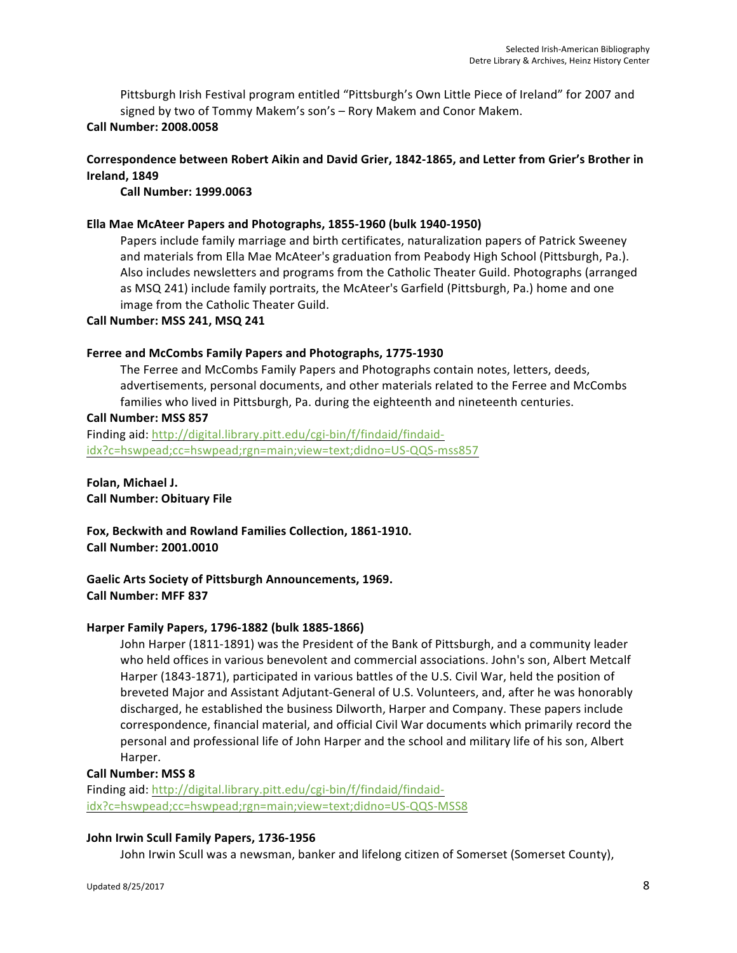Pittsburgh Irish Festival program entitled "Pittsburgh's Own Little Piece of Ireland" for 2007 and signed by two of Tommy Makem's son's - Rory Makem and Conor Makem. **Call Number: 2008.0058**

# Correspondence between Robert Aikin and David Grier, 1842-1865, and Letter from Grier's Brother in **Ireland, 1849**

**Call Number: 1999.0063**

## **Ella Mae McAteer Papers and Photographs, 1855-1960 (bulk 1940-1950)**

Papers include family marriage and birth certificates, naturalization papers of Patrick Sweeney and materials from Ella Mae McAteer's graduation from Peabody High School (Pittsburgh, Pa.). Also includes newsletters and programs from the Catholic Theater Guild. Photographs (arranged as MSQ 241) include family portraits, the McAteer's Garfield (Pittsburgh, Pa.) home and one image from the Catholic Theater Guild.

#### **Call Number: MSS 241, MSQ 241**

#### **Ferree and McCombs Family Papers and Photographs, 1775-1930**

The Ferree and McCombs Family Papers and Photographs contain notes, letters, deeds, advertisements, personal documents, and other materials related to the Ferree and McCombs families who lived in Pittsburgh, Pa. during the eighteenth and nineteenth centuries.

#### **Call Number: MSS 857**

Finding aid: http://digital.library.pitt.edu/cgi-bin/f/findaid/findaididx?c=hswpead;cc=hswpead;rgn=main;view=text;didno=US-QQS-mss857

**Folan, Michael J. Call Number: Obituary File**

Fox, Beckwith and Rowland Families Collection, 1861-1910. **Call Number: 2001.0010**

Gaelic Arts Society of Pittsburgh Announcements, 1969. **Call Number: MFF 837**

#### **Harper Family Papers, 1796-1882 (bulk 1885-1866)**

John Harper (1811-1891) was the President of the Bank of Pittsburgh, and a community leader who held offices in various benevolent and commercial associations. John's son, Albert Metcalf Harper (1843-1871), participated in various battles of the U.S. Civil War, held the position of breveted Major and Assistant Adjutant-General of U.S. Volunteers, and, after he was honorably discharged, he established the business Dilworth, Harper and Company. These papers include correspondence, financial material, and official Civil War documents which primarily record the personal and professional life of John Harper and the school and military life of his son, Albert Harper.

#### **Call Number: MSS 8**

Finding aid: http://digital.library.pitt.edu/cgi-bin/f/findaid/findaididx?c=hswpead;cc=hswpead;rgn=main;view=text;didno=US-QQS-MSS8

#### **John Irwin Scull Family Papers, 1736-1956**

John Irwin Scull was a newsman, banker and lifelong citizen of Somerset (Somerset County),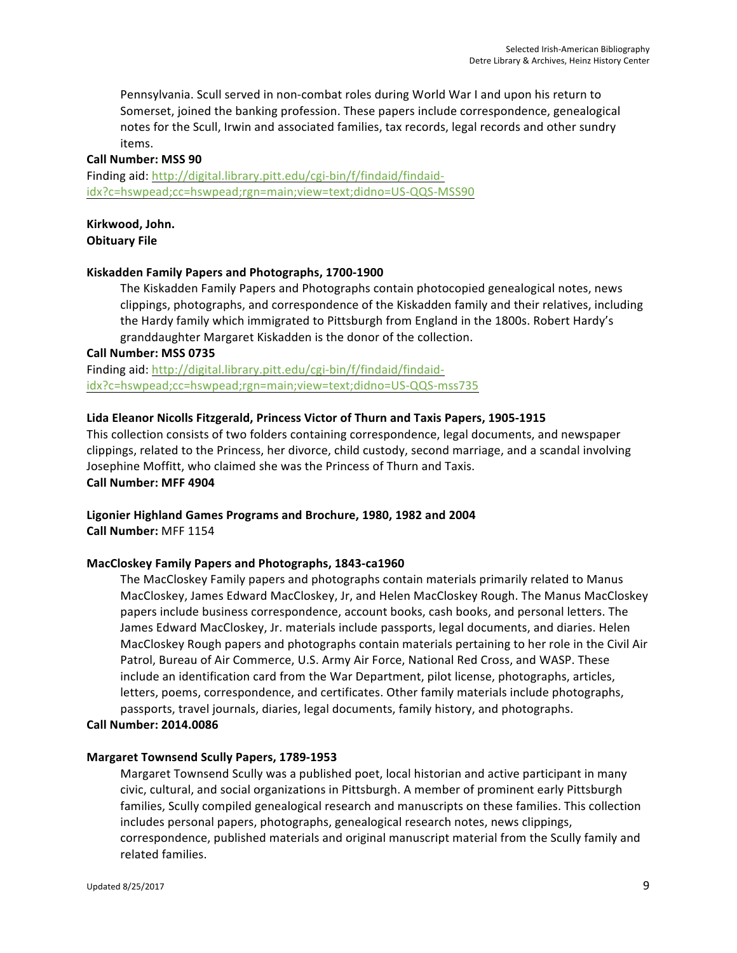Pennsylvania. Scull served in non-combat roles during World War I and upon his return to Somerset, joined the banking profession. These papers include correspondence, genealogical notes for the Scull, Irwin and associated families, tax records, legal records and other sundry items.

#### **Call Number: MSS 90**

Finding aid: http://digital.library.pitt.edu/cgi-bin/f/findaid/findaididx?c=hswpead;cc=hswpead;rgn=main;view=text;didno=US-QQS-MSS90

#### Kirkwood, John. **Obituary File**

# **Kiskadden Family Papers and Photographs, 1700-1900**

The Kiskadden Family Papers and Photographs contain photocopied genealogical notes, news clippings, photographs, and correspondence of the Kiskadden family and their relatives, including the Hardy family which immigrated to Pittsburgh from England in the 1800s. Robert Hardy's granddaughter Margaret Kiskadden is the donor of the collection.

#### **Call Number: MSS 0735**

Finding aid: http://digital.library.pitt.edu/cgi-bin/f/findaid/findaididx?c=hswpead;cc=hswpead;rgn=main;view=text;didno=US-QQS-mss735

# **Lida Eleanor Nicolls Fitzgerald, Princess Victor of Thurn and Taxis Papers, 1905-1915**

This collection consists of two folders containing correspondence, legal documents, and newspaper clippings, related to the Princess, her divorce, child custody, second marriage, and a scandal involving Josephine Moffitt, who claimed she was the Princess of Thurn and Taxis. **Call Number: MFF 4904**

Ligonier Highland Games Programs and Brochure, 1980, 1982 and 2004 **Call Number:** MFF 1154

# **MacCloskey Family Papers and Photographs, 1843-ca1960**

The MacCloskey Family papers and photographs contain materials primarily related to Manus MacCloskey, James Edward MacCloskey, Jr, and Helen MacCloskey Rough. The Manus MacCloskey papers include business correspondence, account books, cash books, and personal letters. The James Edward MacCloskey, Jr. materials include passports, legal documents, and diaries. Helen MacCloskey Rough papers and photographs contain materials pertaining to her role in the Civil Air Patrol, Bureau of Air Commerce, U.S. Army Air Force, National Red Cross, and WASP. These include an identification card from the War Department, pilot license, photographs, articles, letters, poems, correspondence, and certificates. Other family materials include photographs, passports, travel journals, diaries, legal documents, family history, and photographs. **Call Number: 2014.0086**

#### **Margaret Townsend Scully Papers, 1789-1953**

Margaret Townsend Scully was a published poet, local historian and active participant in many civic, cultural, and social organizations in Pittsburgh. A member of prominent early Pittsburgh families, Scully compiled genealogical research and manuscripts on these families. This collection includes personal papers, photographs, genealogical research notes, news clippings, correspondence, published materials and original manuscript material from the Scully family and related families.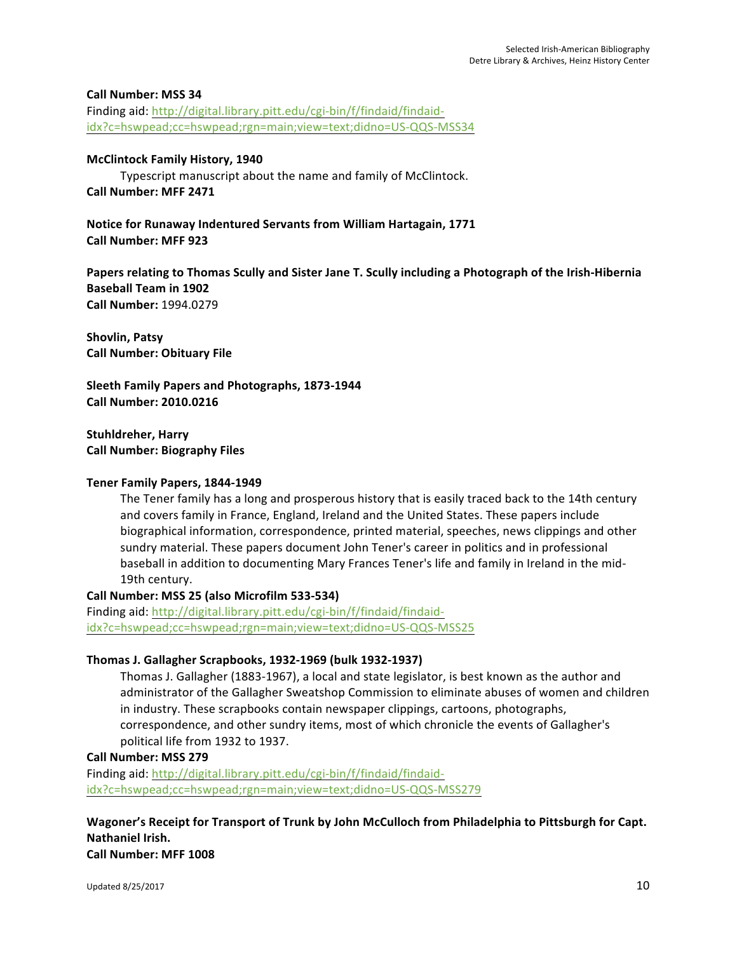#### **Call Number: MSS 34**

Finding aid: http://digital.library.pitt.edu/cgi-bin/f/findaid/findaididx?c=hswpead;cc=hswpead;rgn=main;view=text;didno=US-QQS-MSS34

#### **McClintock Family History, 1940**

Typescript manuscript about the name and family of McClintock. **Call Number: MFF 2471**

**Notice for Runaway Indentured Servants from William Hartagain, 1771 Call Number: MFF 923**

**Papers relating to Thomas Scully and Sister Jane T. Scully including a Photograph of the Irish-Hibernia Baseball Team in 1902 Call Number:** 1994.0279

**Shovlin, Patsy Call Number: Obituary File**

**Sleeth Family Papers and Photographs, 1873-1944 Call Number: 2010.0216**

**Stuhldreher, Harry Call Number: Biography Files**

## **Tener Family Papers, 1844-1949**

The Tener family has a long and prosperous history that is easily traced back to the 14th century and covers family in France, England, Ireland and the United States. These papers include biographical information, correspondence, printed material, speeches, news clippings and other sundry material. These papers document John Tener's career in politics and in professional baseball in addition to documenting Mary Frances Tener's life and family in Ireland in the mid-19th century.

# **Call Number: MSS 25 (also Microfilm 533-534)**

Finding aid: http://digital.library.pitt.edu/cgi-bin/f/findaid/findaididx?c=hswpead;cc=hswpead;rgn=main;view=text;didno=US-QQS-MSS25

# **Thomas J. Gallagher Scrapbooks, 1932-1969 (bulk 1932-1937)**

Thomas J. Gallagher (1883-1967), a local and state legislator, is best known as the author and administrator of the Gallagher Sweatshop Commission to eliminate abuses of women and children in industry. These scrapbooks contain newspaper clippings, cartoons, photographs, correspondence, and other sundry items, most of which chronicle the events of Gallagher's political life from 1932 to 1937.

**Call Number: MSS 279**

Finding aid: http://digital.library.pitt.edu/cgi-bin/f/findaid/findaididx?c=hswpead;cc=hswpead;rgn=main;view=text;didno=US-QQS-MSS279

**Wagoner's Receipt for Transport of Trunk by John McCulloch from Philadelphia to Pittsburgh for Capt. Nathaniel Irish. Call Number: MFF 1008**

Updated 8/25/2017  $\qquad \qquad$